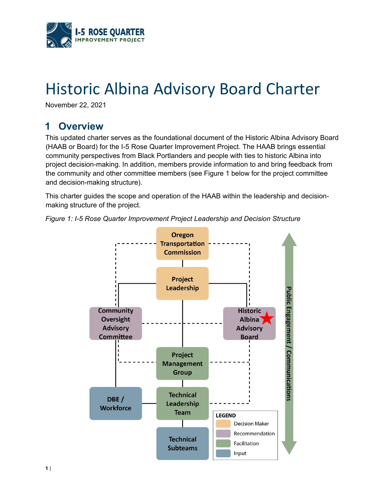

# Historic Albina Advisory Board Charter

November 22, 2021

## **1 Overview**

 the community and other committee members (see Figure 1 below for the project committee This updated charter serves as the foundational document of the Historic Albina Advisory Board (HAAB or Board) for the I-5 Rose Quarter Improvement Project. The HAAB brings essential community perspectives from Black Portlanders and people with ties to historic Albina into project decision-making. In addition, members provide information to and bring feedback from and decision-making structure).

 making structure of the project. This charter guides the scope and operation of the HAAB within the leadership and decision-



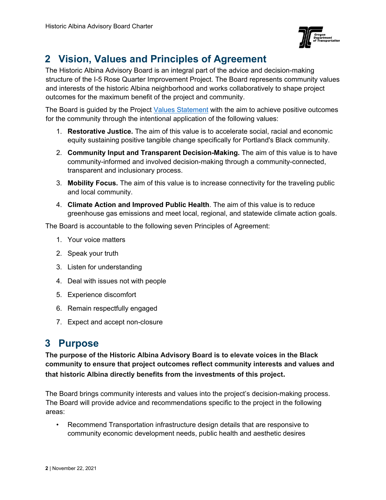

# **2 Vision, Values and Principles of Agreement**

The Historic Albina Advisory Board is an integral part of the advice and decision-making structure of the I-5 Rose Quarter Improvement Project. The Board represents community values and interests of the historic Albina neighborhood and works collaboratively to shape project outcomes for the maximum benefit of the project and community.

The Board is guided by the Project [Values Statement w](https://www.i5rosequarter.org/wp-content/uploads/2020/10/FINAL_I5RQ-Values-Document_102620.pdf)ith the aim to achieve positive outcomes for the community through the intentional application of the following values:

- 1. **Restorative Justice.** The aim of this value is to accelerate social, racial and economic equity sustaining positive tangible change specifically for Portland's Black community.
- 2. **Community Input and Transparent Decision-Making.** The aim of this value is to have community-informed and involved decision-making through a community-connected, transparent and inclusionary process.
- 3. **Mobility Focus.** The aim of this value is to increase connectivity for the traveling public and local community.
- 4. **Climate Action and Improved Public Health**. The aim of this value is to reduce greenhouse gas emissions and meet local, regional, and statewide climate action goals.

The Board is accountable to the following seven Principles of Agreement:

- 1. Your voice matters
- 2. Speak your truth
- 3. Listen for understanding
- 4. Deal with issues not with people
- 5. Experience discomfort
- 6. Remain respectfully engaged
- 7. Expect and accept non-closure

## **3 Purpose**

**The purpose of the Historic Albina Advisory Board is to elevate voices in the Black community to ensure that project outcomes reflect community interests and values and that historic Albina directly benefits from the investments of this project.** 

The Board brings community interests and values into the project's decision-making process. The Board will provide advice and recommendations specific to the project in the following areas:

• Recommend Transportation infrastructure design details that are responsive to community economic development needs, public health and aesthetic desires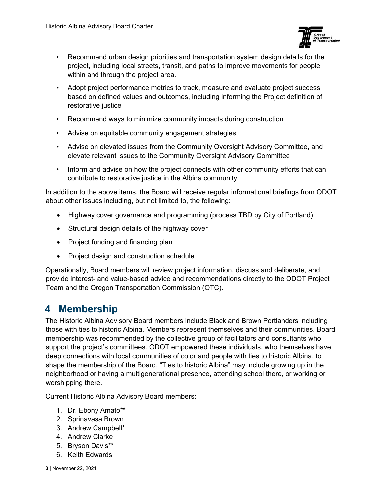

- Recommend urban design priorities and transportation system design details for the project, including local streets, transit, and paths to improve movements for people within and through the project area.
- Adopt project performance metrics to track, measure and evaluate project success based on defined values and outcomes, including informing the Project definition of restorative justice
- Recommend ways to minimize community impacts during construction
- Advise on equitable community engagement strategies
- Advise on elevated issues from the Community Oversight Advisory Committee, and elevate relevant issues to the Community Oversight Advisory Committee
- Inform and advise on how the project connects with other community efforts that can contribute to restorative justice in the Albina community

 In addition to the above items, the Board will receive regular informational briefings from ODOT about other issues including, but not limited to, the following:

- Highway cover governance and programming (process TBD by City of Portland)
- Structural design details of the highway cover
- Project funding and financing plan
- Project design and construction schedule

Operationally, Board members will review project information, discuss and deliberate, and provide interest- and value-based advice and recommendations directly to the ODOT Project Team and the Oregon Transportation Commission (OTC).

## **4 Membership**

 shape the membership of the Board. "Ties to historic Albina" may include growing up in the The Historic Albina Advisory Board members include Black and Brown Portlanders including those with ties to historic Albina. Members represent themselves and their communities. Board membership was recommended by the collective group of facilitators and consultants who support the project's committees. ODOT empowered these individuals, who themselves have deep connections with local communities of color and people with ties to historic Albina, to neighborhood or having a multigenerational presence, attending school there, or working or worshipping there.

Current Historic Albina Advisory Board members:

- 1. Dr. Ebony Amato\*\*
- 2. Sprinavasa Brown
- 3. Andrew Campbell\*
- 4. Andrew Clarke
- 5. Bryson Davis\*\*
- 6. Keith Edwards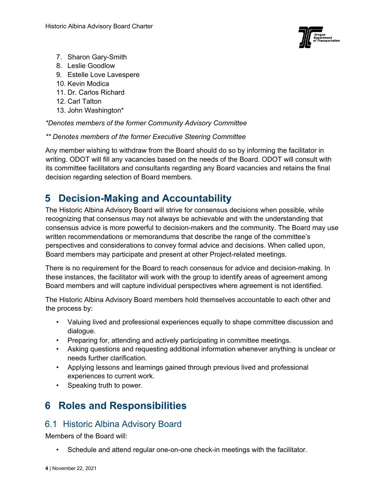

- 7. Sharon Gary-Smith
- 8. Leslie Goodlow
- 9. Estelle Love Lavespere
- 10. Kevin Modica
- 11. Dr. Carlos Richard
- 12. Carl Talton
- 13. John Washington\*

#### *\*Denotes members of the former Community Advisory Committee*

*\*\* Denotes members of the former Executive Steering Committee* 

 Any member wishing to withdraw from the Board should do so by informing the facilitator in writing. ODOT will fill any vacancies based on the needs of the Board. ODOT will consult with its committee facilitators and consultants regarding any Board vacancies and retains the final decision regarding selection of Board members.

## **5 Decision-Making and Accountability**

 written recommendations or memorandums that describe the range of the committee's The Historic Albina Advisory Board will strive for consensus decisions when possible, while recognizing that consensus may not always be achievable and with the understanding that consensus advice is more powerful to decision-makers and the community. The Board may use perspectives and considerations to convey formal advice and decisions. When called upon, Board members may participate and present at other Project-related meetings.

 these instances, the facilitator will work with the group to identify areas of agreement among There is no requirement for the Board to reach consensus for advice and decision-making. In Board members and will capture individual perspectives where agreement is not identified.

The Historic Albina Advisory Board members hold themselves accountable to each other and the process by:

- Valuing lived and professional experiences equally to shape committee discussion and dialogue.
- Preparing for, attending and actively participating in committee meetings.
- Asking questions and requesting additional information whenever anything is unclear or needs further clarification.
- Applying lessons and learnings gained through previous lived and professional experiences to current work.
- Speaking truth to power.

# **6 Roles and Responsibilities**

#### 6.1 Historic Albina Advisory Board

Members of the Board will:

• Schedule and attend regular one-on-one check-in meetings with the facilitator.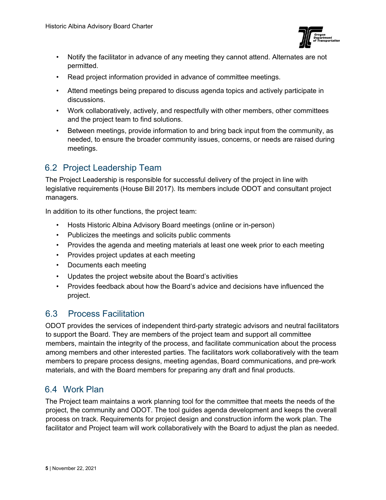

- Notify the facilitator in advance of any meeting they cannot attend. Alternates are not permitted.
- Read project information provided in advance of committee meetings.
- Attend meetings being prepared to discuss agenda topics and actively participate in discussions.
- Work collaboratively, actively, and respectfully with other members, other committees and the project team to find solutions.
- • Between meetings, provide information to and bring back input from the community, as meetings. needed, to ensure the broader community issues, concerns, or needs are raised during

#### 6.2 Project Leadership Team

The Project Leadership is responsible for successful delivery of the project in line with legislative requirements (House Bill 2017). Its members include ODOT and consultant project managers.

In addition to its other functions, the project team:

- Hosts Historic Albina Advisory Board meetings (online or in-person)
- Publicizes the meetings and solicits public comments
- Provides the agenda and meeting materials at least one week prior to each meeting
- Provides project updates at each meeting
- Documents each meeting
- Updates the project website about the Board's activities
- Provides feedback about how the Board's advice and decisions have influenced the project.

#### 6.3 Process Facilitation

ODOT provides the services of independent third-party strategic advisors and neutral facilitators to support the Board. They are members of the project team and support all committee members, maintain the integrity of the process, and facilitate communication about the process among members and other interested parties. The facilitators work collaboratively with the team members to prepare process designs, meeting agendas, Board communications, and pre-work materials, and with the Board members for preparing any draft and final products.

#### 6.4 Work Plan

The Project team maintains a work planning tool for the committee that meets the needs of the project, the community and ODOT. The tool guides agenda development and keeps the overall process on track. Requirements for project design and construction inform the work plan. The facilitator and Project team will work collaboratively with the Board to adjust the plan as needed.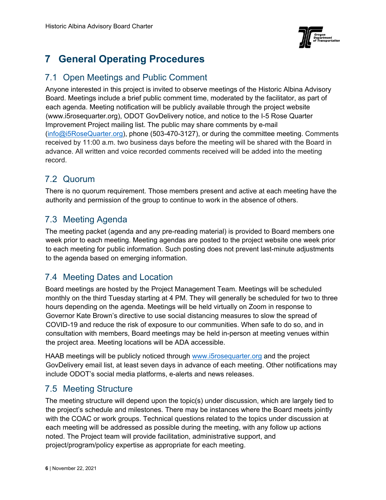

# **7 General Operating Procedures**

#### 7.1 Open Meetings and Public Comment

Anyone interested in this project is invited to observe meetings of the Historic Albina Advisory Board. Meetings include a brief public comment time, moderated by the facilitator, as part of each agenda. Meeting notification will be publicly available through the project website [\(www.i5rosequarter.org\)](www.i5rosequarter.org), ODOT GovDelivery notice, and notice to the I-5 Rose Quarter Improvement Project mailing list. The public may share comments by e-mail ([info@i5RoseQuarter.org](mailto:info@i5RoseQuarter.org)), phone (503-470-3127), or during the committee meeting. Comments received by 11:00 a.m. two business days before the meeting will be shared with the Board in advance. All written and voice recorded comments received will be added into the meeting record.

#### 7.2 Quorum

There is no quorum requirement. Those members present and active at each meeting have the authority and permission of the group to continue to work in the absence of others.

#### 7.3 Meeting Agenda

The meeting packet (agenda and any pre-reading material) is provided to Board members one week prior to each meeting. Meeting agendas are posted to the project website one week prior to each meeting for public information. Such posting does not prevent last-minute adjustments to the agenda based on emerging information.

#### 7.4 Meeting Dates and Location

 monthly on the third Tuesday starting at 4 PM. They will generally be scheduled for two to three Board meetings are hosted by the Project Management Team. Meetings will be scheduled hours depending on the agenda. Meetings will be held virtually on Zoom in response to Governor Kate Brown's directive to use social distancing measures to slow the spread of COVID-19 and reduce the risk of exposure to our communities. When safe to do so, and in consultation with members, Board meetings may be held in-person at meeting venues within the project area. Meeting locations will be ADA accessible.

HAAB meetings will be publicly noticed through [www.i5rosequarter.org a](http://www.i5rosequarter.org/)nd the project GovDelivery email list, at least seven days in advance of each meeting. Other notifications may include ODOT's social media platforms, e-alerts and news releases.

#### 7.5 Meeting Structure

 The meeting structure will depend upon the topic(s) under discussion, which are largely tied to with the COAC or work groups. Technical questions related to the topics under discussion at each meeting will be addressed as possible during the meeting, with any follow up actions the project's schedule and milestones. There may be instances where the Board meets jointly noted. The Project team will provide facilitation, administrative support, and project/program/policy expertise as appropriate for each meeting.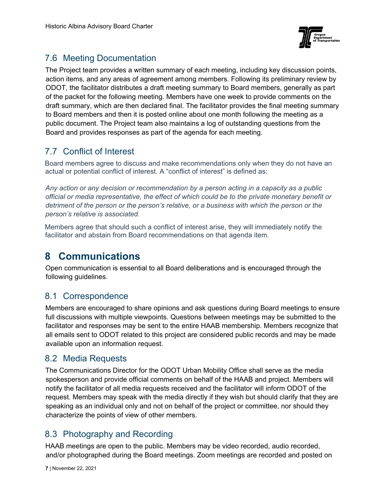

#### 7.6 Meeting Documentation

The Project team provides a written summary of each meeting, including key discussion points, action items, and any areas of agreement among members. Following its preliminary review by ODOT, the facilitator distributes a draft meeting summary to Board members, generally as part of the packet for the following meeting. Members have one week to provide comments on the draft summary, which are then declared final. The facilitator provides the final meeting summary to Board members and then it is posted online about one month following the meeting as a public document. The Project team also maintains a log of outstanding questions from the Board and provides responses as part of the agenda for each meeting.

### 7.7 Conflict of Interest

Board members agree to discuss and make recommendations only when they do not have an actual or potential conflict of interest. A "conflict of interest" is defined as:

*Any action or any decision or recommendation by a person acting in a capacity as a public official or media representative, the effect of which could be to the private monetary benefit or detriment of the person or the person's relative, or a business with which the person or the person's relative is associated.* 

Members agree that should such a conflict of interest arise, they will immediately notify the facilitator and abstain from Board recommendations on that agenda item.

## **8 Communications**

Open communication is essential to all Board deliberations and is encouraged through the following guidelines.

#### 8.1 Correspondence

 Members are encouraged to share opinions and ask questions during Board meetings to ensure full discussions with multiple viewpoints. Questions between meetings may be submitted to the facilitator and responses may be sent to the entire HAAB membership. Members recognize that all emails sent to ODOT related to this project are considered public records and may be made available upon an information request.

#### 8.2 Media Requests

The Communications Director for the ODOT Urban Mobility Office shall serve as the media spokesperson and provide official comments on behalf of the HAAB and project. Members will notify the facilitator of all media requests received and the facilitator will inform ODOT of the request. Members may speak with the media directly if they wish but should clarify that they are speaking as an individual only and not on behalf of the project or committee, nor should they characterize the points of view of other members.

#### 8.3 Photography and Recording

HAAB meetings are open to the public. Members may be video recorded, audio recorded, and/or photographed during the Board meetings. Zoom meetings are recorded and posted on